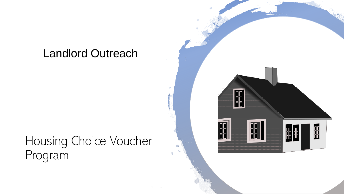## Landlord Outreach

## Housing Choice Voucher Program

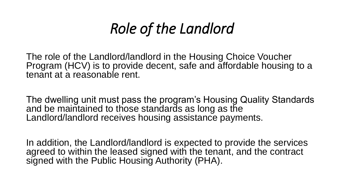# *Role of the Landlord*

The role of the Landlord/landlord in the Housing Choice Voucher Program (HCV) is to provide decent, safe and affordable housing to a tenant at a reasonable rent.

The dwelling unit must pass the program's Housing Quality Standards and be maintained to those standards as long as the Landlord/landlord receives housing assistance payments.

In addition, the Landlord/landlord is expected to provide the services agreed to within the leased signed with the tenant, and the contract signed with the Public Housing Authority (PHA).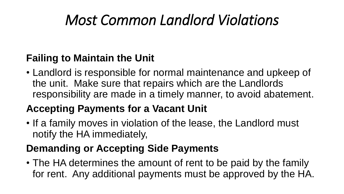# *Most Common Landlord Violations*

### **Failing to Maintain the Unit**

• Landlord is responsible for normal maintenance and upkeep of the unit. Make sure that repairs which are the Landlords responsibility are made in a timely manner, to avoid abatement.

## **Accepting Payments for a Vacant Unit**

• If a family moves in violation of the lease, the Landlord must notify the HA immediately,

## **Demanding or Accepting Side Payments**

• The HA determines the amount of rent to be paid by the family for rent. Any additional payments must be approved by the HA.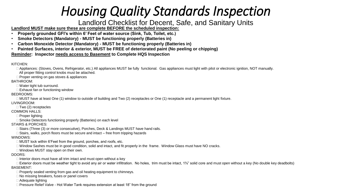## *Housing Quality Standards Inspection*

#### Landlord Checklist for Decent, Safe, and Sanitary Units

**Landlord MUST make sure these are complete BEFORE the scheduled inspection:**

- **Properly grounded GFI's within 6' Feet of water source (Sink, Tub, Toilet, etc.)**
- **Smoke Detectors (Mandatory) - MUST be functioning properly (Batteries in)**
- **Carbon Monoxide Detector (Mandatory) - MUST be functioning properly (Batteries in)**
- **Painted Surfaces, interior & exterior, MUST be FREE of deteriorated paint (No peeling or chipping)**

#### **Reminder: Inspector needs access to Basement to Complete HQS Inspection**

KITCHEN:

□ Appliances: (Stoves, Ovens, Refrigerator, etc.) All appliances MUST be fully functional. Gas appliances must light with pilot or electronic ignition, NOT manually.

All proper fitting control knobs must be attached.

 $\Box$  Proper venting on gas stoves & appliances

BATHROOM:

Water tight tub surround.

 $\Box$  Exhaust fan or functioning window

BEDROOMS:

 $\Box$  MUST have at least One (1) window to outside of building and Two (2) receptacles or One (1) receptacle and a permanent light fixture.

#### LIVINGROOM:

 $\Box$  Two (2) receptacles

COMMON HALLS:

□ Proper lighting

□ Smoke Detectors functioning properly (Batteries) on each level

STAIRS & PORCHES:

□ Stairs (Three (3) or more consecutive), Porches, Deck & Landings MUST have hand rails.

 $\Box$  Stairs, walks, porch floors must be secure and intact – free from tripping hazards

WINDOWS:

□ MUST lock within 6'Feet from the ground, porches, and roofs, etc.

□ Window Sashes must be in good condition, solid and intact, and fit properly in the frame. Window Glass must have NO cracks.

□ Windows MUST stay open on their own.

#### DOORS:

 $\Box$  Interior doors must have all trim intact and must open without a key

□ Exterior doors must be weather tight to avoid any air or water infiltration. No holes, trim must be intact,  $1\frac{3}{4}$ " solid core and must open without a key (No double key deadbolts) BASEMENT:

 $\Box$  Properly sealed venting from gas and oil heating equipment to chimneys.

□ No missing breakers, fuses or panel covers

□ Adequate lighting

□ Pressure Relief Valve - Hot Water Tank requires extension at least 18" from the ground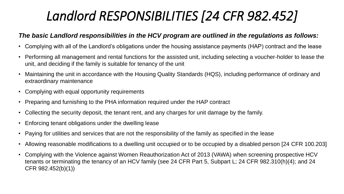## *Landlord RESPONSIBILITIES [24 CFR 982.452]*

#### *The basic Landlord responsibilities in the HCV program are outlined in the regulations as follows:*

- Complying with all of the Landlord's obligations under the housing assistance payments (HAP) contract and the lease
- Performing all management and rental functions for the assisted unit, including selecting a voucher-holder to lease the unit, and deciding if the family is suitable for tenancy of the unit
- Maintaining the unit in accordance with the Housing Quality Standards (HQS), including performance of ordinary and extraordinary maintenance
- Complying with equal opportunity requirements
- Preparing and furnishing to the PHA information required under the HAP contract
- Collecting the security deposit, the tenant rent, and any charges for unit damage by the family.
- Enforcing tenant obligations under the dwelling lease
- Paying for utilities and services that are not the responsibility of the family as specified in the lease
- Allowing reasonable modifications to a dwelling unit occupied or to be occupied by a disabled person [24 CFR 100.203]
- Complying with the Violence against Women Reauthorization Act of 2013 (VAWA) when screening prospective HCV tenants or terminating the tenancy of an HCV family (see 24 CFR Part 5, Subpart L; 24 CFR 982.310(h)(4); and 24 CFR 982.452(b)(1))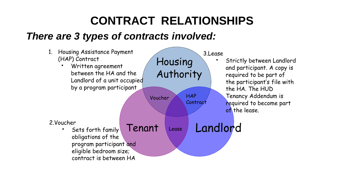## **CONTRACT RELATIONSHIPS**

### *There are 3 types of contracts involved:*

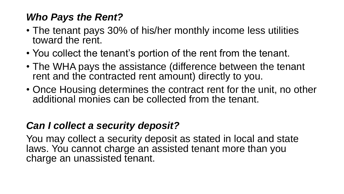## *Who Pays the Rent?*

- The tenant pays 30% of his/her monthly income less utilities toward the rent.
- You collect the tenant's portion of the rent from the tenant.
- The WHA pays the assistance (difference between the tenant rent and the contracted rent amount) directly to you.
- Once Housing determines the contract rent for the unit, no other additional monies can be collected from the tenant.

### *Can I collect a security deposit?*

You may collect a security deposit as stated in local and state laws. You cannot charge an assisted tenant more than you charge an unassisted tenant.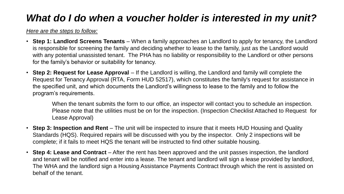## *What do I do when a voucher holder is interested in my unit?*

*Here are the steps to follow:*

- **Step 1: Landlord Screens Tenants** When a family approaches an Landlord to apply for tenancy, the Landlord is responsible for screening the family and deciding whether to lease to the family, just as the Landlord would with any potential unassisted tenant. The PHA has no liability or responsibility to the Landlord or other persons for the family's behavior or suitability for tenancy.
- **Step 2: Request for Lease Approval** If the Landlord is willing, the Landlord and family will complete the Request for Tenancy Approval (RTA, Form HUD 52517), which constitutes the family's request for assistance in the specified unit, and which documents the Landlord's willingness to lease to the family and to follow the program's requirements.

When the tenant submits the form to our office, an inspector will contact you to schedule an inspection. Please note that the utilities must be on for the inspection. (Inspection Checklist Attached to Request for Lease Approval)

- **Step 3: Inspection and Rent** The unit will be inspected to insure that it meets HUD Housing and Quality Standards (HQS). Required repairs will be discussed with you by the inspector. Only 2 inspections will be complete; if it fails to meet HQS the tenant will be instructed to find other suitable housing.
- **Step 4: Lease and Contract** After the rent has been approved and the unit passes inspection, the landlord and tenant will be notified and enter into a lease. The tenant and landlord will sign a lease provided by landlord, The WHA and the landlord sign a Housing Assistance Payments Contract through which the rent is assisted on behalf of the tenant.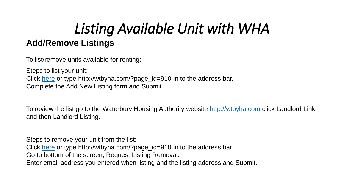## *Listing Available Unit with WHA* **Add/Remove Listings**

To list/remove units available for renting:

Steps to list your unit: Click [here](http://wtbyha.com/?page_id=910) or type http://wtbyha.com/?page\_id=910 in to the address bar. Complete the Add New Listing form and Submit.

To review the list go to the Waterbury Housing Authority website [http://wtbyha.com](http://wtbyha.com/) click Landlord Link and then Landlord Listing.

Steps to remove your unit from the list:

Click [here](http://wtbyha.com/?page_id=910) or type http://wtbyha.com/?page\_id=910 in to the address bar.

Go to bottom of the screen, Request Listing Removal.

Enter email address you entered when listing and the listing address and Submit.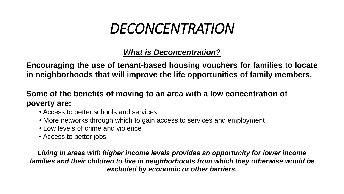## *DECONCENTRATION*

### *What is Deconcentration?*

**Encouraging the use of tenant-based housing vouchers for families to locate in neighborhoods that will improve the life opportunities of family members.**

### **Some of the benefits of moving to an area with a low concentration of poverty are:**

- Access to better schools and services
- More networks through which to gain access to services and employment
- Low levels of crime and violence
- Access to better jobs

*Living in areas with higher income levels provides an opportunity for lower income families and their children to live in neighborhoods from which they otherwise would be excluded by economic or other barriers.*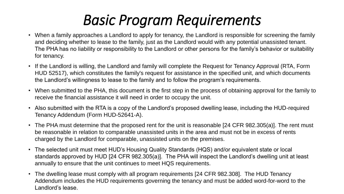# *Basic Program Requirements*

- When a family approaches a Landlord to apply for tenancy, the Landlord is responsible for screening the family and deciding whether to lease to the family, just as the Landlord would with any potential unassisted tenant. The PHA has no liability or responsibility to the Landlord or other persons for the family's behavior or suitability for tenancy.
- If the Landlord is willing, the Landlord and family will complete the Request for Tenancy Approval (RTA, Form HUD 52517), which constitutes the family's request for assistance in the specified unit, and which documents the Landlord's willingness to lease to the family and to follow the program's requirements.
- When submitted to the PHA, this document is the first step in the process of obtaining approval for the family to receive the financial assistance it will need in order to occupy the unit.
- Also submitted with the RTA is a copy of the Landlord's proposed dwelling lease, including the HUD-required Tenancy Addendum (Form HUD-52641-A).
- The PHA must determine that the proposed rent for the unit is reasonable [24 CFR 982.305(a)]. The rent must be reasonable in relation to comparable unassisted units in the area and must not be in excess of rents charged by the Landlord for comparable, unassisted units on the premises.
- The selected unit must meet HUD's Housing Quality Standards (HQS) and/or equivalent state or local standards approved by HUD [24 CFR 982.305(a)]. The PHA will inspect the Landlord's dwelling unit at least annually to ensure that the unit continues to meet HQS requirements.
- The dwelling lease must comply with all program requirements [24 CFR 982.308]. The HUD Tenancy Addendum includes the HUD requirements governing the tenancy and must be added word-for-word to the Landlord's lease.